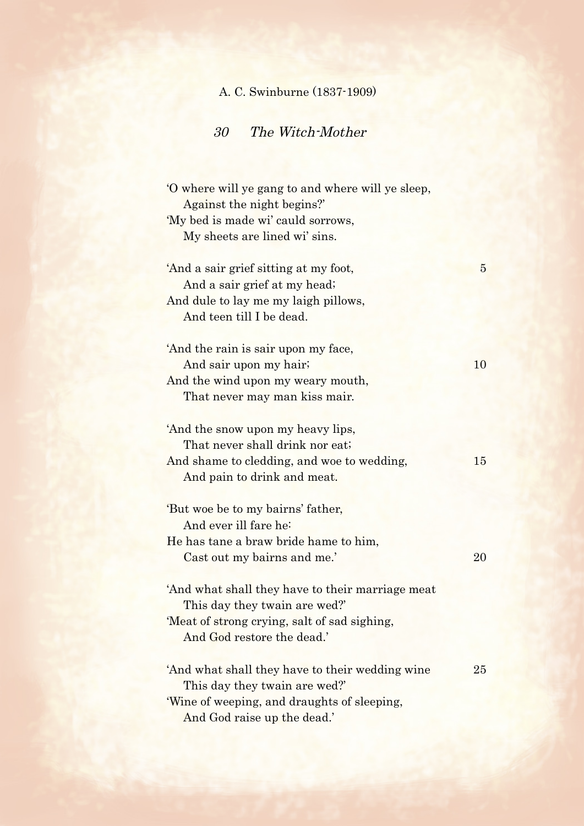## A. C. Swinburne (1837-1909)

## 30 The Witch-Mother

| 'O where will ye gang to and where will ye sleep,<br>Against the night begins?' |    |
|---------------------------------------------------------------------------------|----|
| 'My bed is made wi' cauld sorrows,                                              |    |
| My sheets are lined wi' sins.                                                   |    |
|                                                                                 |    |
| 'And a sair grief sitting at my foot,                                           | 5  |
| And a sair grief at my head;                                                    |    |
| And dule to lay me my laigh pillows,                                            |    |
| And teen till I be dead.                                                        |    |
|                                                                                 |    |
| 'And the rain is sair upon my face,                                             |    |
| And sair upon my hair;                                                          | 10 |
| And the wind upon my weary mouth,                                               |    |
| That never may man kiss mair.                                                   |    |
|                                                                                 |    |
| 'And the snow upon my heavy lips,                                               |    |
| That never shall drink nor eat;                                                 |    |
| And shame to cledding, and woe to wedding,                                      | 15 |
| And pain to drink and meat.                                                     |    |
|                                                                                 |    |
| 'But woe be to my bairns' father,                                               |    |
| And ever ill fare he:                                                           |    |
| He has tane a braw bride hame to him,                                           |    |
| Cast out my bairns and me.'                                                     | 20 |
|                                                                                 |    |
| 'And what shall they have to their marriage meat                                |    |
| This day they twain are wed?                                                    |    |
| 'Meat of strong crying, salt of sad sighing,                                    |    |
| And God restore the dead.'                                                      |    |
|                                                                                 |    |
| And what shall they have to their wedding wine                                  | 25 |
| This day they twain are wed?'                                                   |    |
| 'Wine of weeping, and draughts of sleeping,                                     |    |
| And God raise up the dead.'                                                     |    |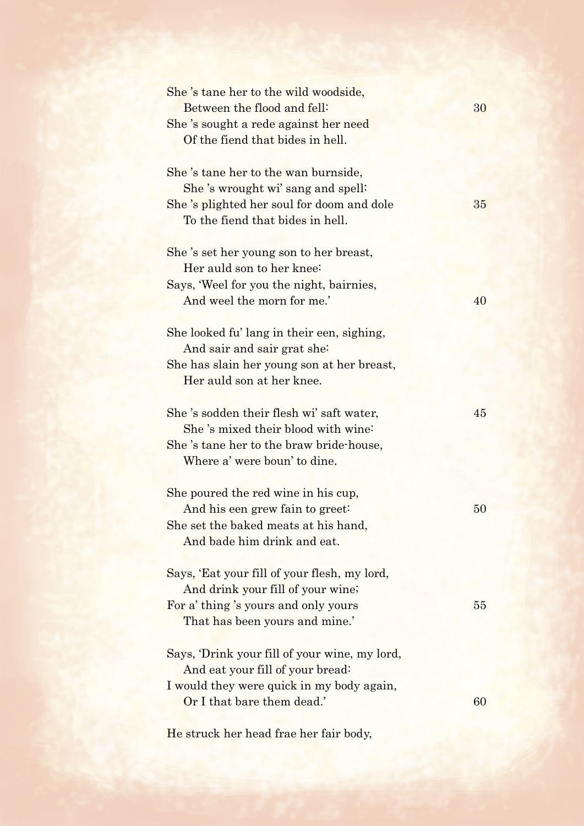| She's tane her to the wild woodside,<br>Between the flood and fell:                                                                                        | 30 |
|------------------------------------------------------------------------------------------------------------------------------------------------------------|----|
| She's sought a rede against her need<br>Of the fiend that bides in hell.                                                                                   |    |
| She's tane her to the wan burnside,<br>She's wrought wi' sang and spell:                                                                                   |    |
| She's plighted her soul for doom and dole<br>To the fiend that bides in hell.                                                                              | 35 |
| She 's set her young son to her breast,<br>Her auld son to her knee:                                                                                       |    |
| Says, 'Weel for you the night, bairnies,<br>And weel the morn for me.'                                                                                     | 40 |
| She looked fu' lang in their een, sighing,<br>And sair and sair grat she:                                                                                  |    |
| She has slain her young son at her breast,<br>Her auld son at her knee.                                                                                    |    |
| She's sodden their flesh wi's aft water,<br>She's mixed their blood with wine:<br>She 's tane her to the braw bride-house,<br>Where a' were boun' to dine. | 45 |
| She poured the red wine in his cup,<br>And his een grew fain to greet:<br>She set the baked meats at his hand,<br>And bade him drink and eat.              | 50 |
| Says, 'Eat your fill of your flesh, my lord,<br>And drink your fill of your wine;                                                                          |    |
| For a' thing's yours and only yours<br>That has been yours and mine.'                                                                                      | 55 |
| Says, 'Drink your fill of your wine, my lord,<br>And eat your fill of your bread:                                                                          |    |
| I would they were quick in my body again,<br>Or I that bare them dead.'                                                                                    | 60 |

He struck her head frae her fair body,